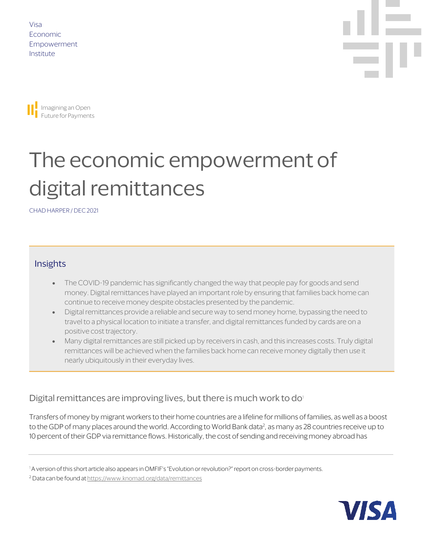Visa Economic Empowerment Institute





# The economic empowerment of digital remittances

CHAD HARPER / DEC 2021

### Insights

- The COVID-19 pandemic has significantly changed the way that people pay for goods and send money. Digital remittances have played an important role by ensuring that families back home can continue to receive money despite obstacles presented by the pandemic.
- Digital remittances provide a reliable and secure way to send money home, bypassing the need to travel to a physical location to initiate a transfer, and digital remittances funded by cards are on a positive cost trajectory.
- Many digital remittances are still picked up by receivers in cash, and this increases costs. Truly digital remittances will be achieved when the families back home can receive money digitally then use it nearly ubiquitously in their everyday lives.

### Digital remittances are impr[o](#page-0-0)ving lives, but there is much work to do<sup>1</sup>

Transfers of money by migrant workers to their home countries are a lifeline for millions of families, as well as a boost to the GDP of many places around the world. According to World Bank data<sup>2</sup>, as many as 28 countries receive up to 10 percent of their GDP via remittance flows. Historically, the cost of sending and receiving money abroad has



<span id="page-0-0"></span><sup>&</sup>lt;sup>1</sup> A version of this short article also appears in OMFIF's "Evolution or revolution?" report on cross-border payments.

<span id="page-0-1"></span><sup>2</sup> Data can be found at <https://www.knomad.org/data/remittances>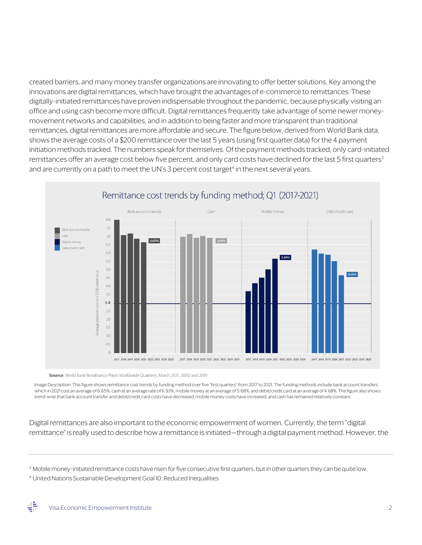created barriers, and many money transfer organizations are innovating to offer better solutions. Key among the innovations are digital remittances, which have brought the advantages of e-commerce to remittances. These digitally-initiated remittances have proven indispensable throughout the pandemic, because physically visiting an office and using cash become more difficult. Digital remittances frequently take advantage of some newer moneymovement networks and capabilities, and in addition to being faster and more transparent than traditional remittances, digital remittances are more affordable and secure. The figure below, derived from World Bank data, shows the average costs of a \$200 remittance over the last 5 years (using first quarter data) for the 4 payment initiation methods tracked. The numbers speak for themselves. Of the payment methods tracked, only card-initiated remittances offer an average cost below five percent, and only card costs have declined for the last 5 first quarters<sup>3</sup> and are currently on a path to meet the UN's 3 percent cost target<sup>4</sup> in the next several years.



Source: World Bank Remittance Prices Worldwide Quarterly, March 2021, 2020, and 2019

Image Description: This figure shows remittance cost trends by funding method over five "first quarters" from 2017 to 2021. The funding methods include bank account transfers which in 2021 cost an average of 6.65%, cash at an average rate of 6.93%,mobile money at an average of 5.68%, and debit/credit card at an average of 4.68%. The figure also shows trend-wise that bank accounttransfer and debit/credit card costs have decreased, mobile money costs have increased, and cash has remained relatively constant.

Digital remittances are also important to the economic empowerment of women. Currently, the term "digital remittance" is really used to describe how a remittance is initiated—through a digital payment method. However, the

<span id="page-1-0"></span><sup>&</sup>lt;sup>3</sup> Mobile money-initiated remittance costs have risen for five consecutive first quarters, but in other quarters they can be quite low.

<span id="page-1-1"></span><sup>4</sup> United Nations Sustainable Development Goal 10: Reduced Inequalities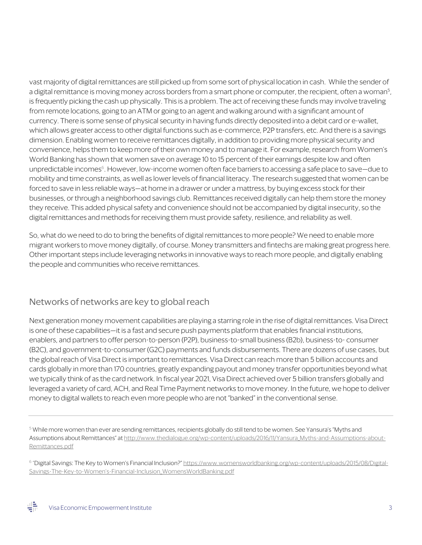vast majority of digital remittances are still picked up from some sort of physical location in cash. While the sender of a digital remittance is moving money across borders from a smart phone or computer, the recipient, often a woman<sup>5</sup>, is frequently picking the cash up physically. This is a problem. The act of receiving these funds may involve traveling from remote locations, going to an ATM or going to an agent and walking around with a significant amount of currency. There is some sense of physical security in having funds directly deposited into a debit card or e-wallet, which allows greater access to other digital functions such as e-commerce, P2P transfers, etc. And there is a savings dimension. Enabling women to receive remittances digitally, in addition to providing more physical security and convenience, helps them to keep more of their own money and to manage it. For example, research from Women's World Banking has shown that women save on average 10 to 15 percent of their earnings despite low and often unpredictable incomes<sup>6</sup>. However, low-income women often face barriers to accessing a safe place to save—due to mobility and time constraints, as well as lower levels of financial literacy. The research suggested that women can be forced to save in less reliable ways—at home in a drawer or under a mattress, by buying excess stock for their businesses, or through a neighborhood savings club. Remittances received digitally can help them store the money they receive. This added physical safety and convenience should not be accompanied by digital insecurity, so the digital remittances and methods for receiving them must provide safety, resilience, and reliability as well.

So, what do we need to do to bring the benefits of digital remittances to more people? We need to enable more migrant workers to move money digitally, of course. Money transmitters and fintechs are making great progress here. Other important steps include leveraging networks in innovative ways to reach more people, and digitally enabling the people and communities who receive remittances.

### Networks of networks are key to global reach

Next generation money movement capabilities are playing a starring role in the rise of digital remittances. Visa Direct is one of these capabilities—it is a fast and secure push payments platform that enables financial institutions, enablers, and partners to offer person-to-person (P2P), business-to-small business (B2b), business-to- consumer (B2C), and government-to-consumer (G2C) payments and funds disbursements. There are dozens of use cases, but the global reach of Visa Direct is important to remittances. Visa Direct can reach more than 5 billion accounts and cards globally in more than 170 countries, greatly expanding payout and money transfer opportunities beyond what we typically think of as the card network. In fiscal year 2021, Visa Direct achieved over 5 billion transfers globally and leveraged a variety of card, ACH, and Real Time Payment networks to move money. In the future, we hope to deliver money to digital wallets to reach even more people who are not "banked" in the conventional sense.

<span id="page-2-0"></span><sup>5</sup> While more women than ever are sending remittances, recipients globally do still tend to be women. See Yansura's "Myths and Assumptions about Remittances" at [http://www.thedialogue.org/wp-content/uploads/2016/11/Yansura\\_Myths-and-Assumptions-about-](http://www.thedialogue.org/wp-content/uploads/2016/11/Yansura_Myths-and-Assumptions-about-Remittances.pdf)[Remittances.pdf](http://www.thedialogue.org/wp-content/uploads/2016/11/Yansura_Myths-and-Assumptions-about-Remittances.pdf)

<span id="page-2-1"></span><sup>6</sup> "Digital Savings: The Key to Women's Financial Inclusion?[" https://www.womensworldbanking.org/wp-content/uploads/2015/08/Digital-](https://www.womensworldbanking.org/wp-content/uploads/2015/08/Digital-Savings-The-Key-to-Women%E2%80%99s-Financial-Inclusion_WomensWorldBanking.pdf)[Savings-The-Key-to-Women's-Financial-Inclusion\\_WomensWorldBanking.pdf](https://www.womensworldbanking.org/wp-content/uploads/2015/08/Digital-Savings-The-Key-to-Women%E2%80%99s-Financial-Inclusion_WomensWorldBanking.pdf)